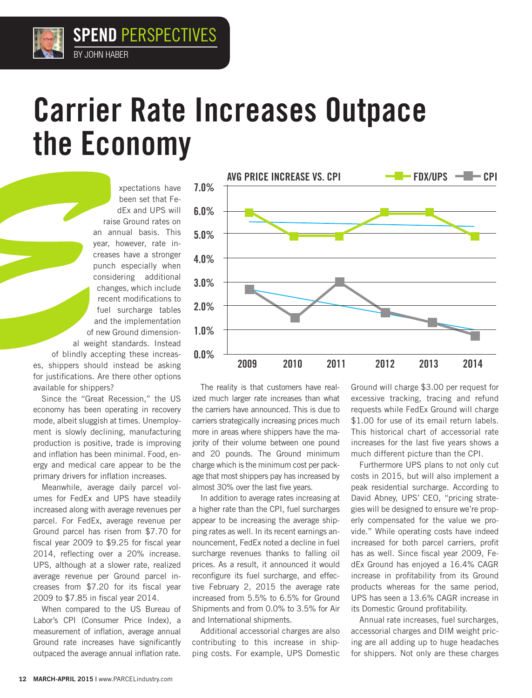## Carrier Rate Increases Outpace the Economy

xpectations have been set that FedEx and UPS will raise Ground rates on an annual basis. This year, however, rate increases have a stronger punch especially when considering additional changes, which include recent modifications to fuel surcharge tables and the implementation of new Ground dimensional weight standards. Instead of blindly accepting these increases, shippers should instead be asking for justifications. Are there other options available for shippers?

Since the "Great Recession," the US economy has been operating in recovery mode, albeit sluggish at times. Unemployment is slowly declining, manufacturing production is positive, trade is improving and inflation has been minimal. Food, energy and medical care appear to be the primary drivers for inflation increases.

Meanwhile, average daily parcel volumes for FedEx and UPS have steadily increased along with average revenues per parcel. For FedEx, average revenue per Ground parcel has risen from \$7.70 for fiscal year 2009 to \$9.25 for fiscal year 2014, reflecting over a 20% increase. UPS, although at a slower rate, realized average revenue per Ground parcel increases from \$7.20 for its fiscal year 2009 to \$7.85 in fiscal year 2014.

When compared to the US Bureau of Labor's CPI (Consumer Price Index), a measurement of inflation, average annual Ground rate increases have significantly outpaced the average annual inflation rate.



The reality is that customers have realized much larger rate increases than what the carriers have announced. This is due to carriers strategically increasing prices much more in areas where shippers have the majority of their volume between one pound and 20 pounds. The Ground minimum charge which is the minimum cost per package that most shippers pay has increased by almost 30% over the last five years.

In addition to average rates increasing at a higher rate than the CPI, fuel surcharges appear to be increasing the average shipping rates as well. In its recent earnings announcement, FedEx noted a decline in fuel surcharge revenues thanks to falling oil prices. As a result, it announced it would reconfigure its fuel surcharge, and effective February 2, 2015 the average rate increased from 5.5% to 6.5% for Ground Shipments and from 0.0% to 3.5% for Air and International shipments.

Additional accessorial charges are also contributing to this increase in shipping costs. For example, UPS Domestic

Ground will charge \$3.00 per request for excessive tracking, tracing and refund requests while FedEx Ground will charge \$1.00 for use of its email return labels. This historical chart of accessorial rate increases for the last five years shows a much different picture than the CPI.

Furthermore UPS plans to not only cut costs in 2015, but will also implement a peak residential surcharge. According to David Abney, UPS' CEO, "pricing strategies will be designed to ensure we're properly compensated for the value we provide." While operating costs have indeed increased for both parcel carriers, profit has as well. Since fiscal year 2009, FedEx Ground has enjoyed a 16.4% CAGR increase in profitability from its Ground products whereas for the same period, UPS has seen a 13.6% CAGR increase in its Domestic Ground profitability.

Annual rate increases, fuel surcharges, accessorial charges and DIM weight pricing are all adding up to huge headaches for shippers. Not only are these charges